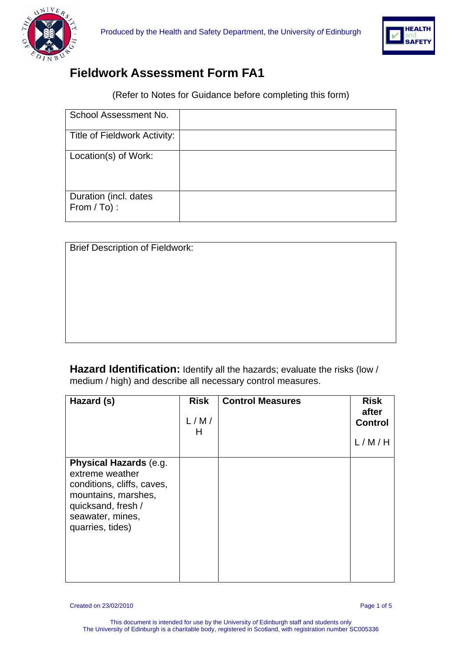



## **Fieldwork Assessment Form FA1**

(Refer to Notes for Guidance before completing this form)

| School Assessment No.                |  |
|--------------------------------------|--|
| Title of Fieldwork Activity:         |  |
| Location(s) of Work:                 |  |
| Duration (incl. dates<br>From / To): |  |

| <b>Brief Description of Fieldwork:</b> |  |  |
|----------------------------------------|--|--|
|                                        |  |  |
|                                        |  |  |
|                                        |  |  |
|                                        |  |  |
|                                        |  |  |
|                                        |  |  |

**Hazard Identification:** Identify all the hazards; evaluate the risks (low / medium / high) and describe all necessary control measures.

| Hazard (s)                                                                                                                                                   | <b>Risk</b><br>L/M/<br>н | <b>Control Measures</b> | <b>Risk</b><br>after<br><b>Control</b><br>L/M/H |
|--------------------------------------------------------------------------------------------------------------------------------------------------------------|--------------------------|-------------------------|-------------------------------------------------|
| Physical Hazards (e.g.<br>extreme weather<br>conditions, cliffs, caves,<br>mountains, marshes,<br>quicksand, fresh /<br>seawater, mines,<br>quarries, tides) |                          |                         |                                                 |

Created on 23/02/2010 Page 1 of 5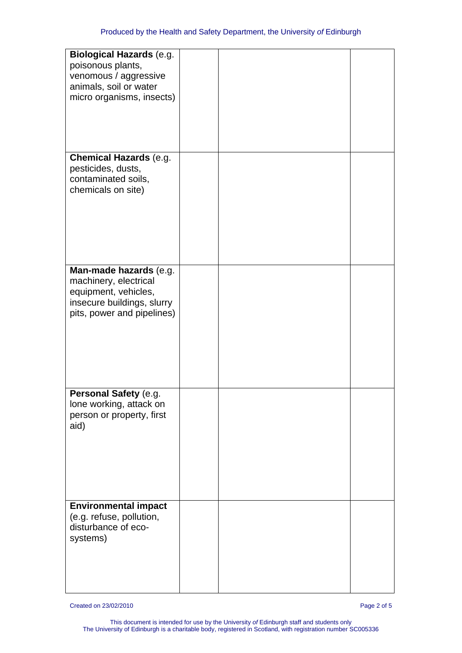| <b>Biological Hazards (e.g.</b><br>poisonous plants,<br>venomous / aggressive<br>animals, soil or water<br>micro organisms, insects) |  |  |
|--------------------------------------------------------------------------------------------------------------------------------------|--|--|
|                                                                                                                                      |  |  |
| <b>Chemical Hazards (e.g.</b><br>pesticides, dusts,<br>contaminated soils,<br>chemicals on site)                                     |  |  |
|                                                                                                                                      |  |  |
| Man-made hazards (e.g.<br>machinery, electrical<br>equipment, vehicles,<br>insecure buildings, slurry<br>pits, power and pipelines)  |  |  |
|                                                                                                                                      |  |  |
| Personal Safety (e.g.<br>lone working, attack on<br>person or property, first<br>aid)                                                |  |  |
|                                                                                                                                      |  |  |
| <b>Environmental impact</b><br>(e.g. refuse, pollution,<br>disturbance of eco-<br>systems)                                           |  |  |
|                                                                                                                                      |  |  |

Created on 23/02/2010 Page 2 of 5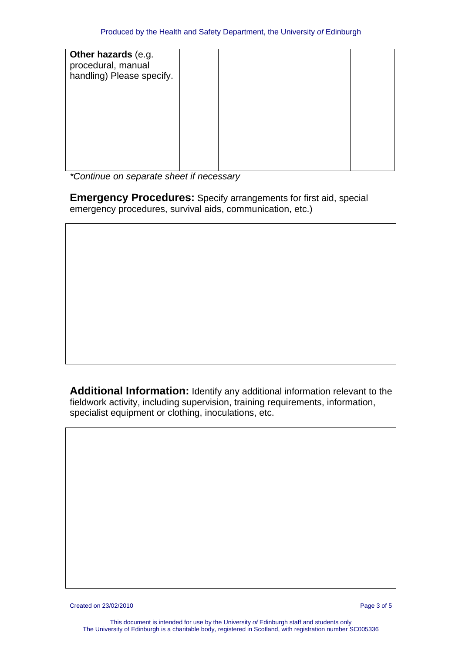| Other hazards (e.g.<br>procedural, manual<br>handling) Please specify. |  |  |
|------------------------------------------------------------------------|--|--|
|                                                                        |  |  |
|                                                                        |  |  |

*\*Continue on separate sheet if necessary* 

**Emergency Procedures:** Specify arrangements for first aid, special emergency procedures, survival aids, communication, etc.)

**Additional Information:** Identify any additional information relevant to the fieldwork activity, including supervision, training requirements, information, specialist equipment or clothing, inoculations, etc.

Created on 23/02/2010 Page 3 of 5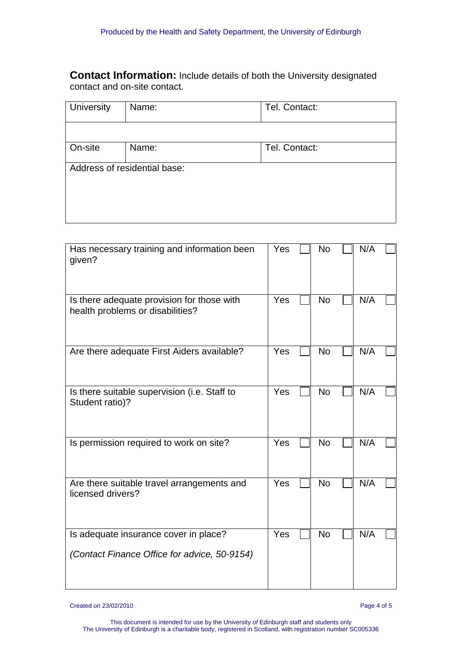**Contact Information:** Include details of both the University designated contact and on-site contact.

| <b>University</b> | Name:                        | Tel. Contact: |
|-------------------|------------------------------|---------------|
|                   |                              |               |
| On-site           | Name:                        | Tel. Contact: |
|                   | Address of residential base: |               |
|                   |                              |               |
|                   |                              |               |

| Has necessary training and information been<br>given?                          | Yes | <b>No</b> | N/A |
|--------------------------------------------------------------------------------|-----|-----------|-----|
| Is there adequate provision for those with<br>health problems or disabilities? | Yes | <b>No</b> | N/A |
| Are there adequate First Aiders available?                                     | Yes | <b>No</b> | N/A |
| Is there suitable supervision (i.e. Staff to<br>Student ratio)?                | Yes | <b>No</b> | N/A |
| Is permission required to work on site?                                        | Yes | <b>No</b> | N/A |
| Are there suitable travel arrangements and<br>licensed drivers?                | Yes | <b>No</b> | N/A |
| Is adequate insurance cover in place?                                          | Yes | <b>No</b> | N/A |
| (Contact Finance Office for advice, 50-9154)                                   |     |           |     |

Created on 23/02/2010 Page 4 of 5